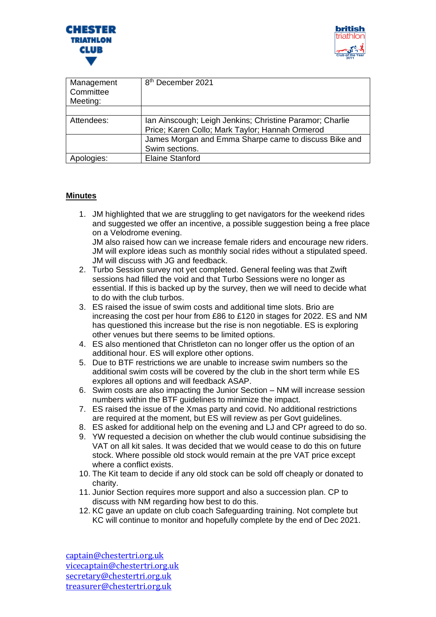



| Management<br>Committee<br>Meeting: | 8 <sup>th</sup> December 2021                                                                               |
|-------------------------------------|-------------------------------------------------------------------------------------------------------------|
|                                     |                                                                                                             |
| Attendees:                          | Ian Ainscough; Leigh Jenkins; Christine Paramor; Charlie<br>Price; Karen Collo; Mark Taylor; Hannah Ormerod |
|                                     | James Morgan and Emma Sharpe came to discuss Bike and<br>Swim sections.                                     |
| Apologies:                          | <b>Elaine Stanford</b>                                                                                      |

## **Minutes**

1. JM highlighted that we are struggling to get navigators for the weekend rides and suggested we offer an incentive, a possible suggestion being a free place on a Velodrome evening.

JM also raised how can we increase female riders and encourage new riders. JM will explore ideas such as monthly social rides without a stipulated speed. JM will discuss with JG and feedback.

- 2. Turbo Session survey not yet completed. General feeling was that Zwift sessions had filled the void and that Turbo Sessions were no longer as essential. If this is backed up by the survey, then we will need to decide what to do with the club turbos.
- 3. ES raised the issue of swim costs and additional time slots. Brio are increasing the cost per hour from £86 to £120 in stages for 2022. ES and NM has questioned this increase but the rise is non negotiable. ES is exploring other venues but there seems to be limited options.
- 4. ES also mentioned that Christleton can no longer offer us the option of an additional hour. ES will explore other options.
- 5. Due to BTF restrictions we are unable to increase swim numbers so the additional swim costs will be covered by the club in the short term while ES explores all options and will feedback ASAP.
- 6. Swim costs are also impacting the Junior Section NM will increase session numbers within the BTF guidelines to minimize the impact.
- 7. ES raised the issue of the Xmas party and covid. No additional restrictions are required at the moment, but ES will review as per Govt guidelines.
- 8. ES asked for additional help on the evening and LJ and CPr agreed to do so.
- 9. YW requested a decision on whether the club would continue subsidising the VAT on all kit sales. It was decided that we would cease to do this on future stock. Where possible old stock would remain at the pre VAT price except where a conflict exists.
- 10. The Kit team to decide if any old stock can be sold off cheaply or donated to charity.
- 11. Junior Section requires more support and also a succession plan. CP to discuss with NM regarding how best to do this.
- 12. KC gave an update on club coach Safeguarding training. Not complete but KC will continue to monitor and hopefully complete by the end of Dec 2021.

[captain@chestertri.org.uk](mailto:captain@chestertri.org.uk) [vicecaptain@chestertri.org.uk](mailto:vicecaptain@chestertri.org.uk) [secretary@chestertri.org.uk](mailto:secretary@chestertri.org.uk) [treasurer@chestertri.org.uk](mailto:treasurer@chestertri.org.uk)